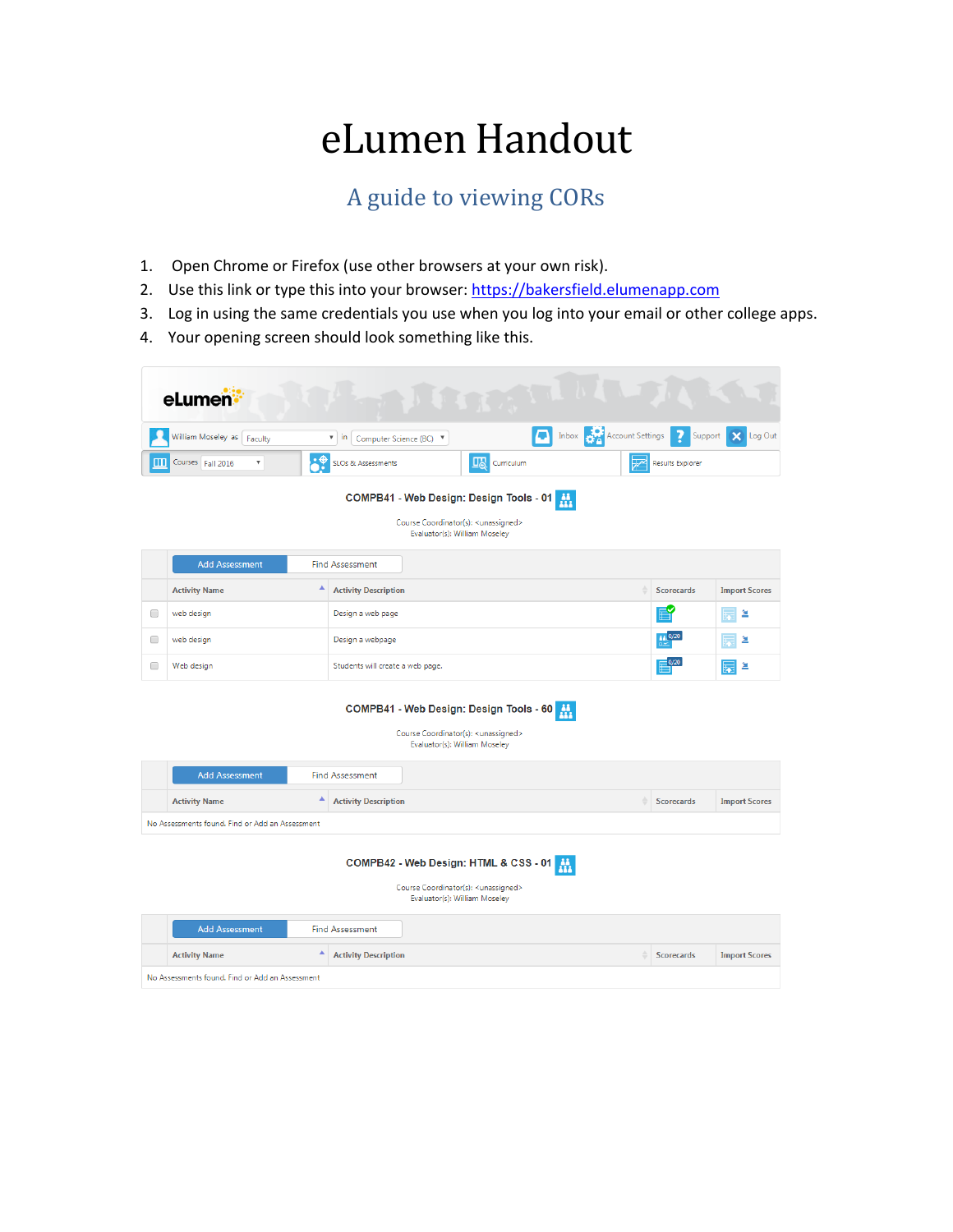## eLumen Handout

## A guide to viewing CORs

- 1. Open Chrome or Firefox (use other browsers at your own risk).
- 2. Use this link or type this into your browser: [https://bakersfield.elumenapp.com](https://bakersfield.elumenapp.com/)
- 3. Log in using the same credentials you use when you log into your email or other college apps.
- 4. Your opening screen should look something like this.

|        | eLumen:                                         |    |                                                                                                                               |            |                               |                                |                      |
|--------|-------------------------------------------------|----|-------------------------------------------------------------------------------------------------------------------------------|------------|-------------------------------|--------------------------------|----------------------|
|        | William Moseley as Faculty                      |    | $\boldsymbol{\mathrm{v}}$<br>in<br>Computer Science (BC) V                                                                    | QI.        | Inbox <b>Account Settings</b> | 7<br>Support                   | Log Out<br>×         |
|        | Courses Fall 2016<br>$\boldsymbol{\mathrm{v}}$  | :♦ | 四<br>SLOs & Assessments                                                                                                       | Curriculum | $\overline{\mathscr{V}}$      | <b>Results Explorer</b>        |                      |
|        |                                                 |    | COMPB41 - Web Design: Design Tools - 01<br>Course Coordinator(s): <unassigned><br/>Evaluator(s): William Moseley</unassigned> |            |                               |                                |                      |
|        | <b>Add Assessment</b>                           |    | <b>Find Assessment</b>                                                                                                        |            |                               |                                |                      |
|        | <b>Activity Name</b>                            | ▲  | <b>Activity Description</b>                                                                                                   |            |                               | <b>Scorecards</b>              | <b>Import Scores</b> |
| 0      | web design                                      |    | Design a web page                                                                                                             |            |                               |                                | ≚                    |
| 0      | web design                                      |    | Design a webpage                                                                                                              |            |                               | a a 0/20                       | ≚                    |
| $\Box$ | Web design                                      |    | Students will create a web page.                                                                                              |            |                               | $\overline{\mathbb{H}}^{0/20}$ | 鱼<br>医               |
|        |                                                 |    | COMPB41 - Web Design: Design Tools - 60<br>Course Coordinator(s): <unassigned><br/>Evaluator(s): William Moseley</unassigned> |            |                               |                                |                      |
|        | <b>Add Assessment</b>                           |    | <b>Find Assessment</b>                                                                                                        |            |                               |                                |                      |
|        | <b>Activity Name</b>                            | ٨  | <b>Activity Description</b>                                                                                                   |            |                               | <b>Scorecards</b>              | <b>Import Scores</b> |
|        | No Assessments found. Find or Add an Assessment |    |                                                                                                                               |            |                               |                                |                      |
|        |                                                 |    | COMPB42 - Web Design: HTML & CSS - 01<br>Course Coordinator(s): <unassigned></unassigned>                                     | 盘          |                               |                                |                      |

Evaluator(s): William Moseley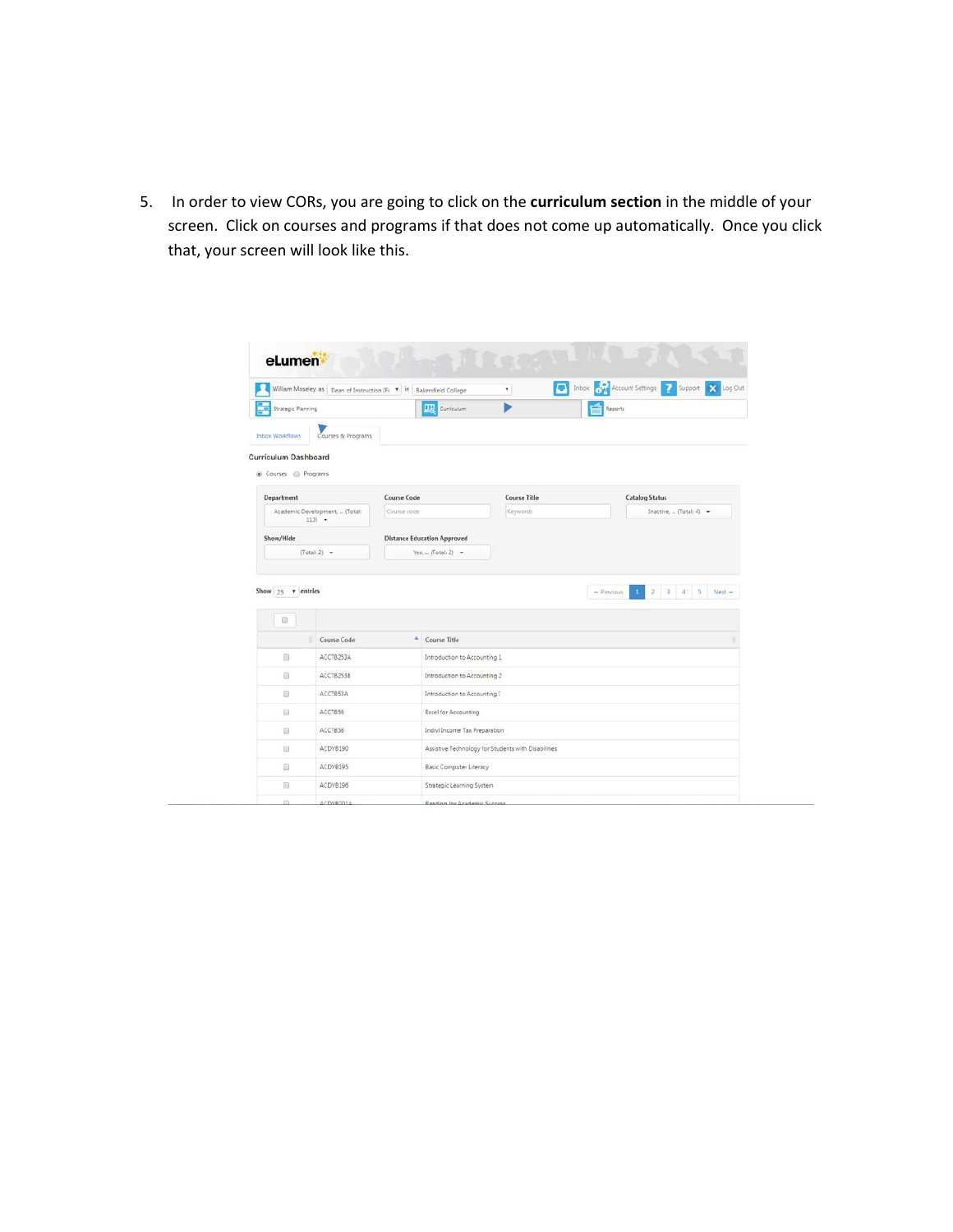5. In order to view CORs, you are going to click on the **curriculum section** in the middle of your screen. Click on courses and programs if that does not come up automatically. Once you click that, your screen will look like this.

|                               | William Moseley as Dean of Instruction (Fi * in   Bakersfield College |                                    |                                | ٠                                                   | The Inbox Cycle Account Settings 2 Support X Log Out |              |
|-------------------------------|-----------------------------------------------------------------------|------------------------------------|--------------------------------|-----------------------------------------------------|------------------------------------------------------|--------------|
| <b>Strategic Planning</b>     |                                                                       |                                    | <b>US</b> Curriculum           |                                                     | Reports                                              |              |
| <b>Inhox Workflows</b>        | Courses & Programs                                                    |                                    |                                |                                                     |                                                      |              |
| <b>Curriculum Dashboard</b>   |                                                                       |                                    |                                |                                                     |                                                      |              |
| Courses @ Programs            |                                                                       |                                    |                                |                                                     |                                                      |              |
| Department                    |                                                                       | <b>Course Code</b>                 |                                | <b>Course Title</b>                                 | <b>Catalog Status</b>                                |              |
|                               | Academic Development,  (Total:<br>$1131 -$                            | Course code                        |                                | Keywords                                            | Inactive.  (Total: 4) $\sim$                         |              |
| Show/Hide                     |                                                                       | <b>Distance Education Approved</b> |                                |                                                     |                                                      |              |
|                               | $(Totab 2)$ -                                                         |                                    | $Yes,  (Total: 2)$ +           |                                                     |                                                      |              |
|                               |                                                                       |                                    |                                |                                                     | $\bar{z}$<br>3<br>$-$ Previous<br>$\Delta$           | $\mathbb{S}$ |
| Show $25$ $\tau$ entries<br>Θ |                                                                       |                                    |                                |                                                     |                                                      | Next -       |
|                               | Course Code                                                           | ×                                  | Course Title                   |                                                     |                                                      |              |
| 田                             | ACCTB253A                                                             |                                    | Introduction to Accounting 1   |                                                     |                                                      |              |
| 63                            | ACCTB253B                                                             |                                    | Introduction to Accounting 2   |                                                     |                                                      |              |
| 煎                             | ACCTB53A                                                              |                                    | Introduction to Accounting I   |                                                     |                                                      |              |
| <b>H</b>                      | ACCTB56                                                               |                                    | <b>Excel for Accounting</b>    |                                                     |                                                      |              |
| 63                            | ACCTB58                                                               |                                    | Indivi Income Tax Preparation  |                                                     |                                                      |              |
| 田                             | ACDV8190                                                              |                                    |                                | Assistive Technology for Students with Disabilities |                                                      |              |
| a                             | ACDVB195                                                              |                                    | <b>Basic Computer Literacy</b> |                                                     |                                                      |              |
| G)                            | ACDVB195                                                              |                                    | Strategic Learning System      |                                                     |                                                      |              |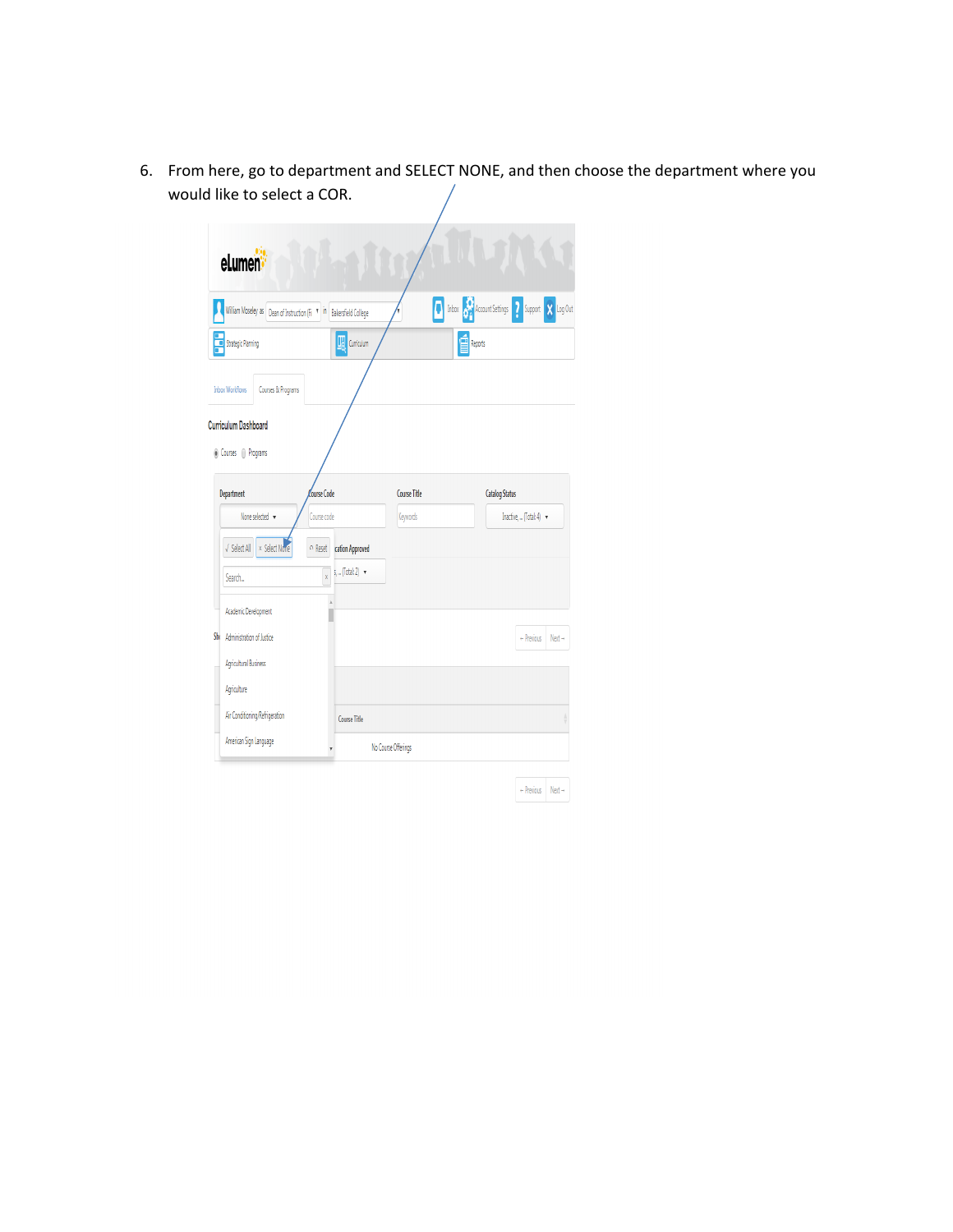6. From here, go to department and SELECT NONE, and then choose the department where you would like to select a COR.

| eLumen                                                               |                                                |              |                                                                                              |
|----------------------------------------------------------------------|------------------------------------------------|--------------|----------------------------------------------------------------------------------------------|
| William Moseley as Dean of Instruction (Fi   M   Bakersfield College |                                                |              | The Inbox <b>CAR</b> Account Settings <b>2</b> Support<br>Log Out<br>$\overline{\mathbf{x}}$ |
| Strategic Planning                                                   | $\boxed{\frac{11}{20}}$ Curriculum             |              | Reports                                                                                      |
| <b>Inbox Workflows</b><br>Courses & Programs                         |                                                |              |                                                                                              |
| <b>Curriculum Dashboard</b>                                          |                                                |              |                                                                                              |
| ◉ Courses () Programs                                                |                                                |              |                                                                                              |
| Department                                                           | Course Code                                    | Course Title | <b>Catalog Status</b>                                                                        |
|                                                                      |                                                |              |                                                                                              |
| None selected v                                                      | Course code                                    | Keywords     | Inactive,  (Total: 4) -                                                                      |
| x Select None<br>√ Select All                                        | o Reset<br>cation Approved                     |              |                                                                                              |
| Search                                                               | $s, $ (Total: 2) $\rightarrow$<br>$\mathsf{x}$ |              |                                                                                              |
| Academic Development                                                 |                                                |              |                                                                                              |
| Sh<br>Administration of Justice                                      |                                                |              | $-$ Previous<br>$Next \rightarrow$                                                           |
| Agricultural Business                                                |                                                |              |                                                                                              |
| Agriculture                                                          |                                                |              |                                                                                              |
| Air Conditioning/Refrigeration                                       | Course Title                                   |              |                                                                                              |

| + Previous | $Next \rightarrow$ |
|------------|--------------------|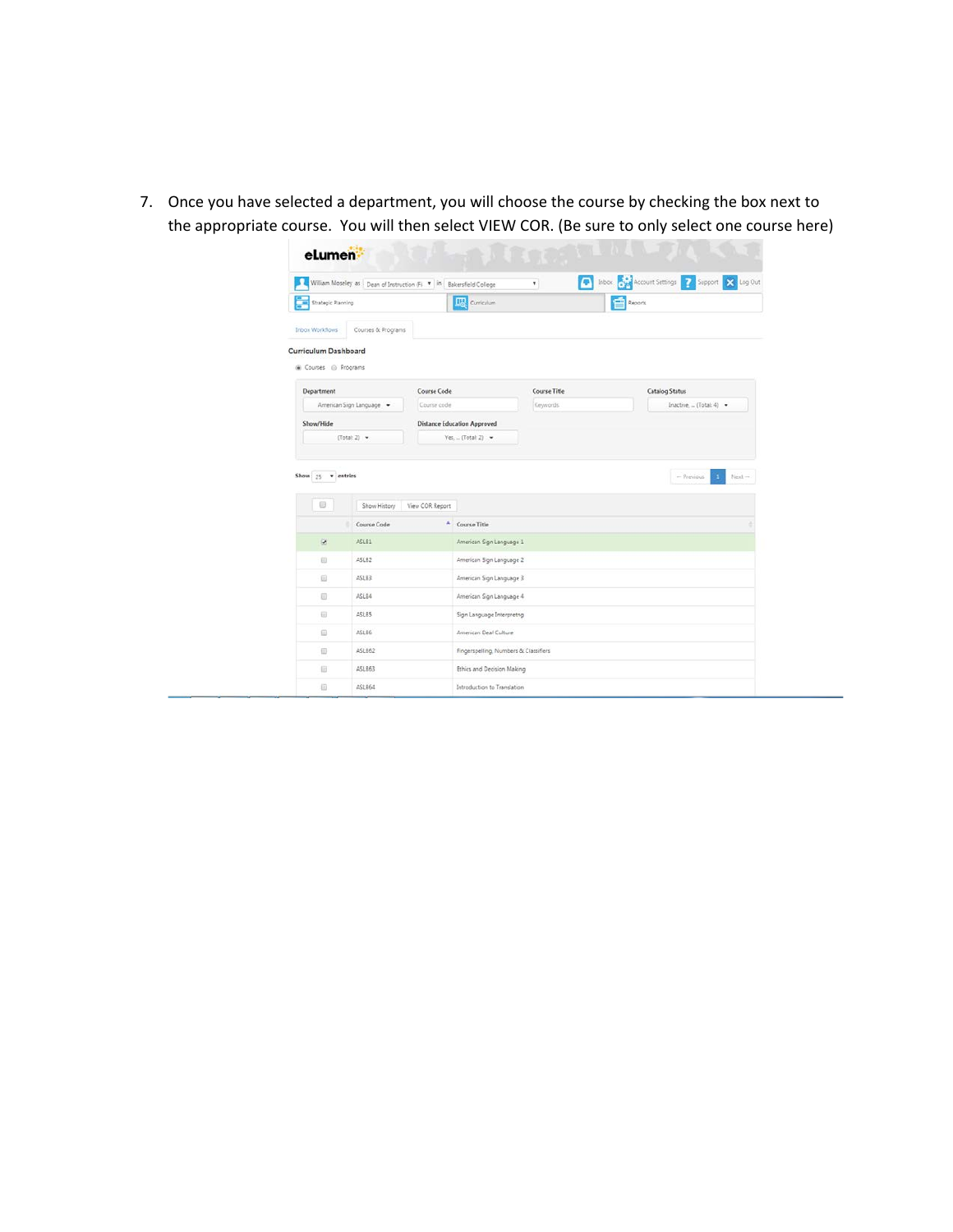7. Once you have selected a department, you will choose the course by checking the box next to the appropriate course. You will then select VIEW COR. (Be sure to only select one course here)

|                                              | William Moseley as Dean of Instruction (Fi * in Bakersfield College |                                       | ٧.           | The Inbox Poult Account Settings 7 Support X Log Out |
|----------------------------------------------|---------------------------------------------------------------------|---------------------------------------|--------------|------------------------------------------------------|
| <b>Strategic Planning</b><br>т               |                                                                     | <b>UB</b> Curriculum                  |              | Reports                                              |
| Inbox Workflows                              | Courses & Programs                                                  |                                       |              |                                                      |
| Curriculum Dashboard<br>@ Courses @ Programs |                                                                     |                                       |              |                                                      |
| Department                                   |                                                                     | Course Code                           | Course Title | <b>Catalog Status</b>                                |
|                                              | American Sign Language -                                            | Course code                           | Keywords     | $Inactive, = (Total; 4)$ .                           |
| Show/Hide                                    |                                                                     | <b>Distance Education Approved</b>    |              |                                                      |
|                                              | $(Total 2)$ $\rightarrow$                                           | $Yes. = (Total: 2)$ .                 |              |                                                      |
| Show 25 v entries                            |                                                                     |                                       |              | ÷.<br>$-$ Previous                                   |
|                                              | Show History                                                        | View COR Report                       |              |                                                      |
|                                              | Course Code                                                         | ٠<br>Course Title                     |              | $Next -$                                             |
| Ÿ.                                           | ASLB1                                                               | American Sign Language 1              |              |                                                      |
| 衍                                            | ASLB2                                                               | American Sign Language 2              |              |                                                      |
| 6                                            | ASL83                                                               | American Sign Language 3              |              |                                                      |
| G)                                           | ASLB4                                                               | American Sign Language 4              |              |                                                      |
| 田                                            | ASLB5                                                               | Sign Language Interpretng             |              |                                                      |
| 日                                            | ASLB6                                                               | American Deaf Culture                 |              |                                                      |
| Đ                                            | ASLB62                                                              | Fingerspelling, Numbers & Classifiers |              |                                                      |
| 日                                            | ASL863                                                              | <b>Ethics and Decision Making</b>     |              |                                                      |

**The Company's Service**